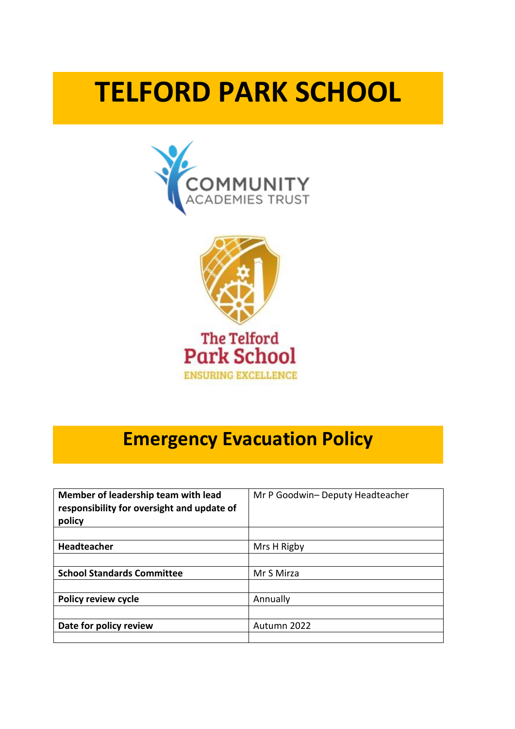# **TELFORD PARK SCHOOL**





# **Emergency Evacuation Policy**

| Member of leadership team with lead<br>responsibility for oversight and update of<br>policy | Mr P Goodwin- Deputy Headteacher |
|---------------------------------------------------------------------------------------------|----------------------------------|
|                                                                                             |                                  |
| <b>Headteacher</b>                                                                          | Mrs H Rigby                      |
|                                                                                             |                                  |
| <b>School Standards Committee</b>                                                           | Mr S Mirza                       |
|                                                                                             |                                  |
| <b>Policy review cycle</b>                                                                  | Annually                         |
|                                                                                             |                                  |
| Date for policy review                                                                      | Autumn 2022                      |
|                                                                                             |                                  |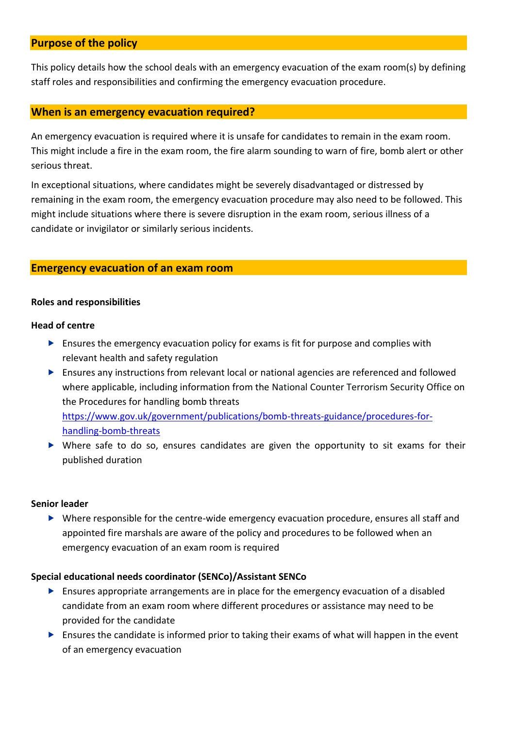# **Purpose of the policy**

This policy details how the school deals with an emergency evacuation of the exam room(s) by defining staff roles and responsibilities and confirming the emergency evacuation procedure.

#### **When is an emergency evacuation required?**

An emergency evacuation is required where it is unsafe for candidates to remain in the exam room. This might include a fire in the exam room, the fire alarm sounding to warn of fire, bomb alert or other serious threat.

In exceptional situations, where candidates might be severely disadvantaged or distressed by remaining in the exam room, the emergency evacuation procedure may also need to be followed. This might include situations where there is severe disruption in the exam room, serious illness of a candidate or invigilator or similarly serious incidents.

# **Emergency evacuation of an exam room**

#### **Roles and responsibilities**

#### **Head of centre**

- $\triangleright$  Ensures the emergency evacuation policy for exams is fit for purpose and complies with relevant health and safety regulation
- Ensures any instructions from relevant local or national agencies are referenced and followed where applicable, including information from the National Counter Terrorism Security Office on the Procedures for handling bomb threats [https://www.gov.uk/government/publications/bomb-threats-guidance/procedures-for](https://www.gov.uk/government/publications/bomb-threats-guidance/procedures-for-handling-bomb-threats)[handling-bomb-threats](https://www.gov.uk/government/publications/bomb-threats-guidance/procedures-for-handling-bomb-threats)
- Where safe to do so, ensures candidates are given the opportunity to sit exams for their published duration

#### **Senior leader**

 Where responsible for the centre-wide emergency evacuation procedure, ensures all staff and appointed fire marshals are aware of the policy and procedures to be followed when an emergency evacuation of an exam room is required

#### **Special educational needs coordinator (SENCo)/Assistant SENCo**

- Ensures appropriate arrangements are in place for the emergency evacuation of a disabled candidate from an exam room where different procedures or assistance may need to be provided for the candidate
- $\triangleright$  Ensures the candidate is informed prior to taking their exams of what will happen in the event of an emergency evacuation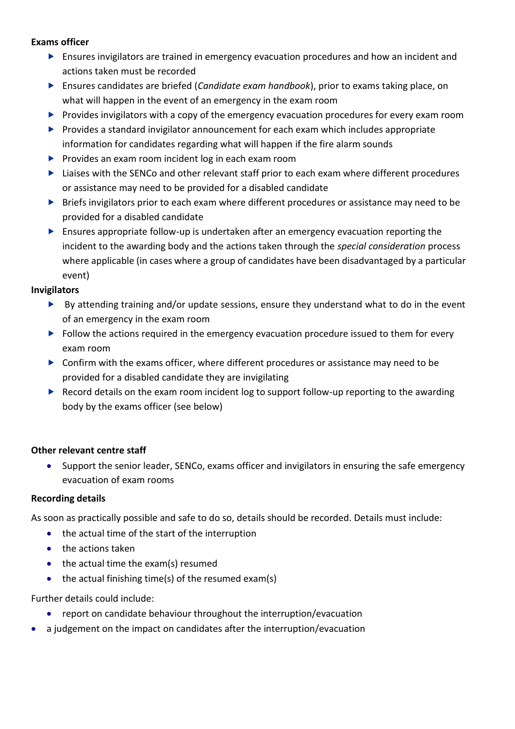# **Exams officer**

- Ensures invigilators are trained in emergency evacuation procedures and how an incident and actions taken must be recorded
- Ensures candidates are briefed (*Candidate exam handbook*), prior to exams taking place, on what will happen in the event of an emergency in the exam room
- P Provides invigilators with a copy of the emergency evacuation procedures for every exam room
- $\blacktriangleright$  Provides a standard invigilator announcement for each exam which includes appropriate information for candidates regarding what will happen if the fire alarm sounds
- $\blacktriangleright$  Provides an exam room incident log in each exam room
- ▶ Liaises with the SENCo and other relevant staff prior to each exam where different procedures or assistance may need to be provided for a disabled candidate
- **Briefs invigilators prior to each exam where different procedures or assistance may need to be** provided for a disabled candidate
- Ensures appropriate follow-up is undertaken after an emergency evacuation reporting the incident to the awarding body and the actions taken through the *special consideration* process where applicable (in cases where a group of candidates have been disadvantaged by a particular event)

#### **Invigilators**

- By attending training and/or update sessions, ensure they understand what to do in the event of an emergency in the exam room
- Follow the actions required in the emergency evacuation procedure issued to them for every exam room
- Confirm with the exams officer, where different procedures or assistance may need to be provided for a disabled candidate they are invigilating
- ▶ Record details on the exam room incident log to support follow-up reporting to the awarding body by the exams officer (see below)

# **Other relevant centre staff**

• Support the senior leader, SENCo, exams officer and invigilators in ensuring the safe emergency evacuation of exam rooms

#### **Recording details**

As soon as practically possible and safe to do so, details should be recorded. Details must include:

- the actual time of the start of the interruption
- the actions taken
- the actual time the exam(s) resumed
- the actual finishing time(s) of the resumed exam(s)

Further details could include:

- report on candidate behaviour throughout the interruption/evacuation
- a judgement on the impact on candidates after the interruption/evacuation